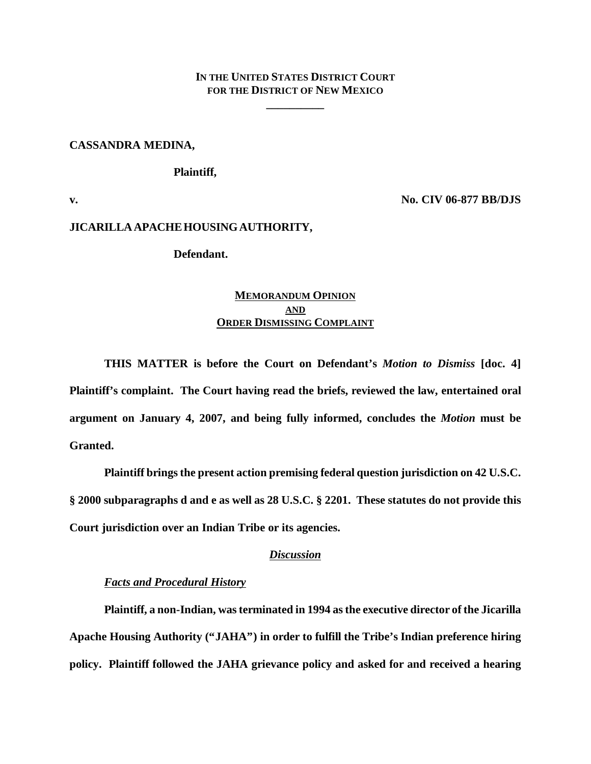# **IN THE UNITED STATES DISTRICT COURT FOR THE DISTRICT OF NEW MEXICO**

**\_\_\_\_\_\_\_\_\_\_**

### **CASSANDRA MEDINA,**

### **Plaintiff,**

**v. No. CIV 06-877 BB/DJS**

#### **JICARILLA APACHE HOUSING AUTHORITY,**

# **Defendant.**

# **MEMORANDUM OPINION AND ORDER DISMISSING COMPLAINT**

**THIS MATTER is before the Court on Defendant's** *Motion to Dismiss* **[doc. 4] Plaintiff's complaint. The Court having read the briefs, reviewed the law, entertained oral argument on January 4, 2007, and being fully informed, concludes the** *Motion* **must be Granted.**

**Plaintiff brings the present action premising federal question jurisdiction on 42 U.S.C. § 2000 subparagraphs d and e as well as 28 U.S.C. § 2201. These statutes do not provide this Court jurisdiction over an Indian Tribe or its agencies.**

## *Discussion*

#### *Facts and Procedural History*

**Plaintiff, a non-Indian, was terminated in 1994 as the executive director of the Jicarilla Apache Housing Authority ("JAHA") in order to fulfill the Tribe's Indian preference hiring policy. Plaintiff followed the JAHA grievance policy and asked for and received a hearing**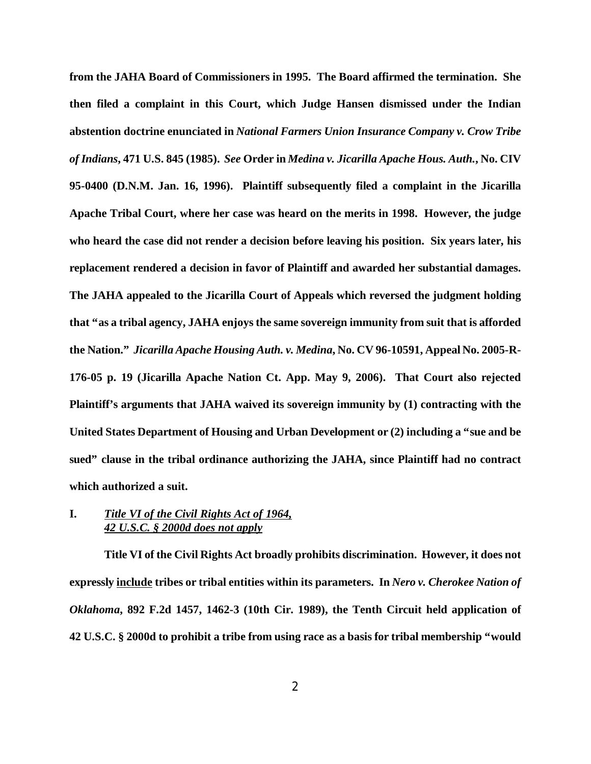**from the JAHA Board of Commissioners in 1995. The Board affirmed the termination. She then filed a complaint in this Court, which Judge Hansen dismissed under the Indian abstention doctrine enunciated in** *National Farmers Union Insurance Company v. Crow Tribe of Indians***, 471 U.S. 845 (1985).** *See* **Order in** *Medina v. Jicarilla Apache Hous. Auth.***, No. CIV 95-0400 (D.N.M. Jan. 16, 1996). Plaintiff subsequently filed a complaint in the Jicarilla Apache Tribal Court, where her case was heard on the merits in 1998. However, the judge who heard the case did not render a decision before leaving his position. Six years later, his replacement rendered a decision in favor of Plaintiff and awarded her substantial damages. The JAHA appealed to the Jicarilla Court of Appeals which reversed the judgment holding that "as a tribal agency, JAHA enjoys the same sovereign immunity from suit that is afforded the Nation."** *Jicarilla Apache Housing Auth. v. Medina***, No. CV 96-10591, Appeal No. 2005-R-176-05 p. 19 (Jicarilla Apache Nation Ct. App. May 9, 2006). That Court also rejected Plaintiff's arguments that JAHA waived its sovereign immunity by (1) contracting with the United States Department of Housing and Urban Development or (2) including a "sue and be sued" clause in the tribal ordinance authorizing the JAHA, since Plaintiff had no contract which authorized a suit.**

## **I.** *Title VI of the Civil Rights Act of 1964, 42 U.S.C. § 2000d does not apply*

**Title VI of the Civil Rights Act broadly prohibits discrimination. However, it does not expressly include tribes or tribal entities within its parameters. In** *Nero v. Cherokee Nation of Oklahoma***, 892 F.2d 1457, 1462-3 (10th Cir. 1989), the Tenth Circuit held application of 42 U.S.C. § 2000d to prohibit a tribe from using race as a basis for tribal membership "would**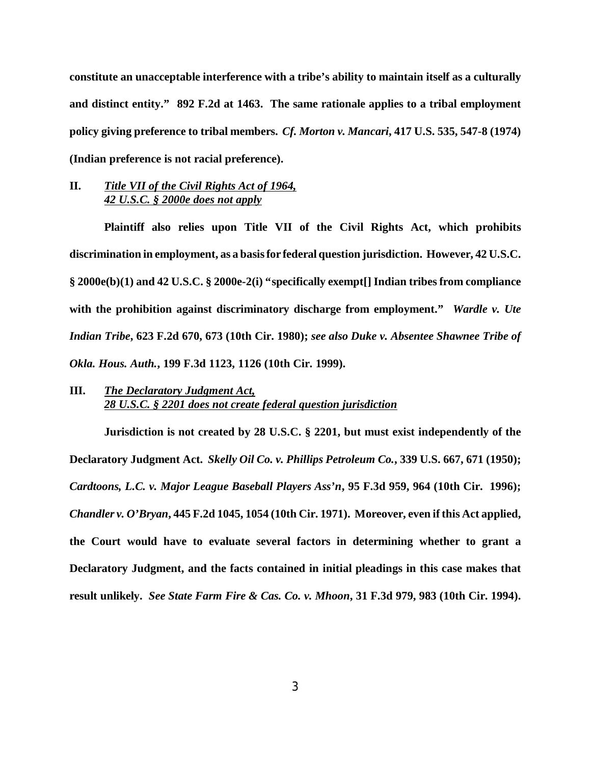**constitute an unacceptable interference with a tribe's ability to maintain itself as a culturally and distinct entity." 892 F.2d at 1463. The same rationale applies to a tribal employment policy giving preference to tribal members.** *Cf. Morton v. Mancari***, 417 U.S. 535, 547-8 (1974) (Indian preference is not racial preference).**

# **II.** *Title VII of the Civil Rights Act of 1964, 42 U.S.C. § 2000e does not apply*

**Plaintiff also relies upon Title VII of the Civil Rights Act, which prohibits discrimination in employment, as a basis for federal question jurisdiction. However, 42 U.S.C. § 2000e(b)(1) and 42 U.S.C. § 2000e-2(i) "specifically exempt[] Indian tribes from compliance with the prohibition against discriminatory discharge from employment."** *Wardle v. Ute Indian Tribe***, 623 F.2d 670, 673 (10th Cir. 1980);** *see also Duke v. Absentee Shawnee Tribe of Okla. Hous. Auth.***, 199 F.3d 1123, 1126 (10th Cir. 1999).**

# **III.** *The Declaratory Judgment Act, 28 U.S.C. § 2201 does not create federal question jurisdiction*

**Jurisdiction is not created by 28 U.S.C. § 2201, but must exist independently of the Declaratory Judgment Act.** *Skelly Oil Co. v. Phillips Petroleum Co.***, 339 U.S. 667, 671 (1950);** *Cardtoons, L.C. v. Major League Baseball Players Ass'n***, 95 F.3d 959, 964 (10th Cir. 1996);** *Chandler v. O'Bryan***, 445 F.2d 1045, 1054 (10th Cir. 1971). Moreover, even if this Act applied, the Court would have to evaluate several factors in determining whether to grant a Declaratory Judgment, and the facts contained in initial pleadings in this case makes that result unlikely.** *See State Farm Fire & Cas. Co. v. Mhoon***, 31 F.3d 979, 983 (10th Cir. 1994).**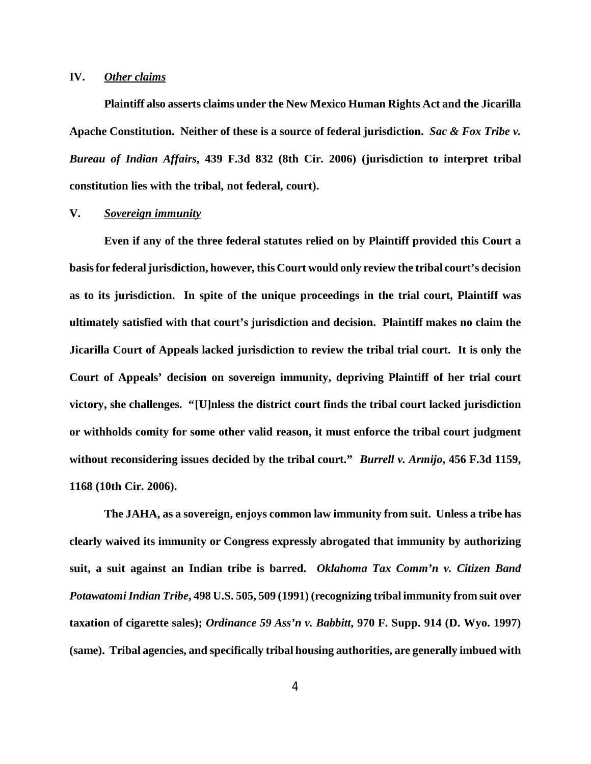### **IV.** *Other claims*

**Plaintiff also asserts claims under the New Mexico Human Rights Act and the Jicarilla Apache Constitution. Neither of these is a source of federal jurisdiction.** *Sac & Fox Tribe v. Bureau of Indian Affairs***, 439 F.3d 832 (8th Cir. 2006) (jurisdiction to interpret tribal constitution lies with the tribal, not federal, court).**

## **V.** *Sovereign immunity*

**Even if any of the three federal statutes relied on by Plaintiff provided this Court a basis for federal jurisdiction, however, this Court would only review the tribal court's decision as to its jurisdiction. In spite of the unique proceedings in the trial court, Plaintiff was ultimately satisfied with that court's jurisdiction and decision. Plaintiff makes no claim the Jicarilla Court of Appeals lacked jurisdiction to review the tribal trial court. It is only the Court of Appeals' decision on sovereign immunity, depriving Plaintiff of her trial court victory, she challenges. "[U]nless the district court finds the tribal court lacked jurisdiction or withholds comity for some other valid reason, it must enforce the tribal court judgment without reconsidering issues decided by the tribal court."** *Burrell v. Armijo***, 456 F.3d 1159, 1168 (10th Cir. 2006).**

**The JAHA, as a sovereign, enjoys common law immunity from suit. Unless a tribe has clearly waived its immunity or Congress expressly abrogated that immunity by authorizing suit, a suit against an Indian tribe is barred.** *Oklahoma Tax Comm'n v. Citizen Band Potawatomi Indian Tribe***, 498 U.S. 505, 509 (1991) (recognizing tribal immunity from suit over taxation of cigarette sales);** *Ordinance 59 Ass'n v. Babbitt***, 970 F. Supp. 914 (D. Wyo. 1997) (same). Tribal agencies, and specifically tribal housing authorities, are generally imbued with**